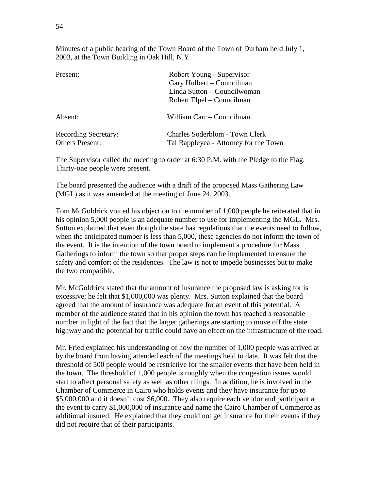Minutes of a public hearing of the Town Board of the Town of Durham held July 1, 2003, at the Town Building in Oak Hill, N.Y.

| Present:                                              | Robert Young - Supervisor<br>Gary Hulbert – Councilman<br>Linda Sutton – Councilwoman<br>Robert Elpel – Councilman |
|-------------------------------------------------------|--------------------------------------------------------------------------------------------------------------------|
| Absent:                                               | William Carr – Councilman                                                                                          |
| <b>Recording Secretary:</b><br><b>Others Present:</b> | Charles Soderblom - Town Clerk<br>Tal Rappleyea - Attorney for the Town                                            |

The Supervisor called the meeting to order at 6:30 P.M. with the Pledge to the Flag. Thirty-one people were present.

The board presented the audience with a draft of the proposed Mass Gathering Law (MGL) as it was amended at the meeting of June 24, 2003.

Tom McGoldrick voiced his objection to the number of 1,000 people he reiterated that in his opinion 5,000 people is an adequate number to use for implementing the MGL. Mrs. Sutton explained that even though the state has regulations that the events need to follow, when the anticipated number is less than 5,000, these agencies do not inform the town of the event. It is the intention of the town board to implement a procedure for Mass Gatherings to inform the town so that proper steps can be implemented to ensure the safety and comfort of the residences. The law is not to impede businesses but to make the two compatible.

Mr. McGoldrick stated that the amount of insurance the proposed law is asking for is excessive; he felt that \$1,000,000 was plenty. Mrs. Sutton explained that the board agreed that the amount of insurance was adequate for an event of this potential. A member of the audience stated that in his opinion the town has reached a reasonable number in light of the fact that the larger gatherings are starting to move off the state highway and the potential for traffic could have an effect on the infrastructure of the road.

Mr. Fried explained his understanding of how the number of 1,000 people was arrived at by the board from having attended each of the meetings held to date. It was felt that the threshold of 500 people would be restrictive for the smaller events that have been held in the town. The threshold of 1,000 people is roughly when the congestion issues would start to affect personal safety as well as other things. In addition, he is involved in the Chamber of Commerce in Cairo who holds events and they have insurance for up to \$5,000,000 and it doesn't cost \$6,000. They also require each vendor and participant at the event to carry \$1,000,000 of insurance and name the Cairo Chamber of Commerce as additional insured. He explained that they could not get insurance for their events if they did not require that of their participants.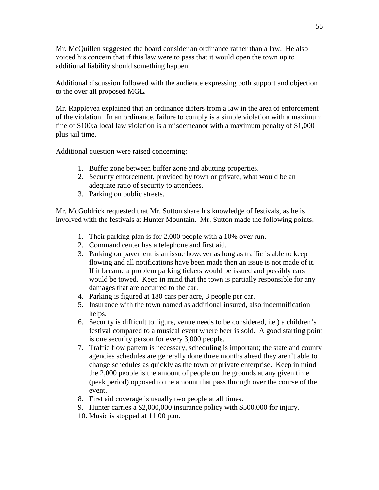Mr. McQuillen suggested the board consider an ordinance rather than a law. He also voiced his concern that if this law were to pass that it would open the town up to additional liability should something happen.

Additional discussion followed with the audience expressing both support and objection to the over all proposed MGL.

Mr. Rappleyea explained that an ordinance differs from a law in the area of enforcement of the violation. In an ordinance, failure to comply is a simple violation with a maximum fine of \$100;a local law violation is a misdemeanor with a maximum penalty of \$1,000 plus jail time.

Additional question were raised concerning:

- 1. Buffer zone between buffer zone and abutting properties.
- 2. Security enforcement, provided by town or private, what would be an adequate ratio of security to attendees.
- 3. Parking on public streets.

Mr. McGoldrick requested that Mr. Sutton share his knowledge of festivals, as he is involved with the festivals at Hunter Mountain. Mr. Sutton made the following points.

- 1. Their parking plan is for 2,000 people with a 10% over run.
- 2. Command center has a telephone and first aid.
- 3. Parking on pavement is an issue however as long as traffic is able to keep flowing and all notifications have been made then an issue is not made of it. If it became a problem parking tickets would be issued and possibly cars would be towed. Keep in mind that the town is partially responsible for any damages that are occurred to the car.
- 4. Parking is figured at 180 cars per acre, 3 people per car.
- 5. Insurance with the town named as additional insured, also indemnification helps.
- 6. Security is difficult to figure, venue needs to be considered, i.e.) a children's festival compared to a musical event where beer is sold. A good starting point is one security person for every 3,000 people.
- 7. Traffic flow pattern is necessary, scheduling is important; the state and county agencies schedules are generally done three months ahead they aren't able to change schedules as quickly as the town or private enterprise. Keep in mind the 2,000 people is the amount of people on the grounds at any given time (peak period) opposed to the amount that pass through over the course of the event.
- 8. First aid coverage is usually two people at all times.
- 9. Hunter carries a \$2,000,000 insurance policy with \$500,000 for injury.
- 10. Music is stopped at 11:00 p.m.